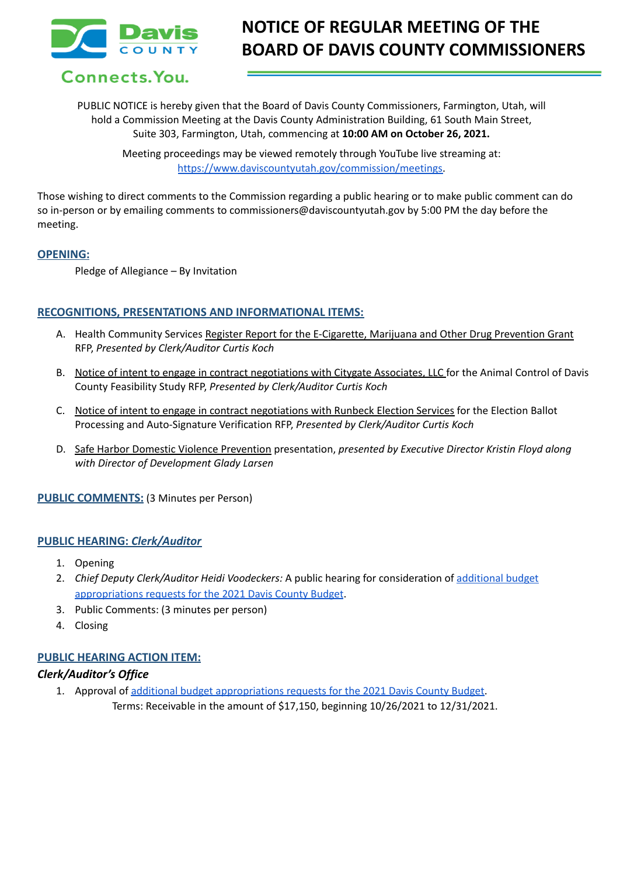

# **NOTICE OF REGULAR MEETING OF THE BOARD OF DAVIS COUNTY COMMISSIONERS**

Connects. You.

PUBLIC NOTICE is hereby given that the Board of Davis County Commissioners, Farmington, Utah, will hold a Commission Meeting at the Davis County Administration Building, 61 South Main Street, Suite 303, Farmington, Utah, commencing at **10:00 AM on October 26, 2021.**

Meeting proceedings may be viewed remotely through YouTube live streaming at: [https://www.daviscountyutah.gov/commission/meetings.](https://www.daviscountyutah.gov/commission/meetings)

Those wishing to direct comments to the Commission regarding a public hearing or to make public comment can do so in-person or by emailing comments to commissioners@daviscountyutah.gov by 5:00 PM the day before the meeting.

#### **OPENING:**

Pledge of Allegiance – By Invitation

## **RECOGNITIONS, PRESENTATIONS AND INFORMATIONAL ITEMS:**

- A. Health Community Services Register Report for the E-Cigarette, Marijuana and Other Drug Prevention Grant RFP, *Presented by Clerk/Auditor Curtis Koch*
- B. Notice of intent to engage in contract negotiations with Citygate Associates, LLC for the Animal Control of Davis County Feasibility Study RFP, *Presented by Clerk/Auditor Curtis Koch*
- C. Notice of intent to engage in contract negotiations with Runbeck Election Services for the Election Ballot Processing and Auto-Signature Verification RFP, *Presented by Clerk/Auditor Curtis Koch*
- D. Safe Harbor Domestic Violence Prevention presentation, *presented by Executive Director Kristin Floyd along with Director of Development Glady Larsen*

**PUBLIC COMMENTS:** (3 Minutes per Person)

#### **PUBLIC HEARING:** *Clerk/Auditor*

- 1. Opening
- 2. *Chief Deputy Clerk/Auditor Heidi Voodeckers:* A public hearing for consideration of [additional](https://drive.google.com/file/d/1nkImkG9pKHEBRdqL9awWRmWIUEgM8r05/view?usp=sharing) budget [appropriations](https://drive.google.com/file/d/1nkImkG9pKHEBRdqL9awWRmWIUEgM8r05/view?usp=sharing) requests for the 2021 Davis County Budget.
- 3. Public Comments: (3 minutes per person)
- 4. Closing

## **PUBLIC HEARING ACTION ITEM:**

#### *Clerk/Auditor's Office*

1. Approval of additional budget [appropriations](https://drive.google.com/file/d/1nkImkG9pKHEBRdqL9awWRmWIUEgM8r05/view?usp=sharing) requests for the 2021 Davis County Budget. Terms: Receivable in the amount of \$17,150, beginning 10/26/2021 to 12/31/2021.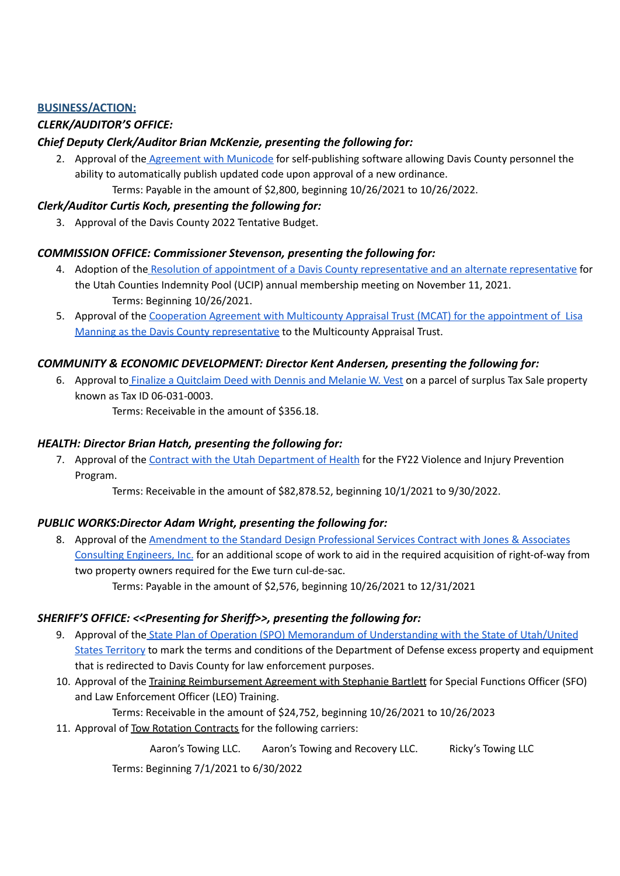## **BUSINESS/ACTION:**

# *CLERK/AUDITOR'S OFFICE:*

## *Chief Deputy Clerk/Auditor Brian McKenzie, presenting the following for:*

2. Approval of the [Agreement](https://drive.google.com/file/d/1Yg4xzFHvjWaaEtlT2c0Hy2zfJhFfqCJc/view?usp=sharing) with Municode for self-publishing software allowing Davis County personnel the ability to automatically publish updated code upon approval of a new ordinance. Terms: Payable in the amount of \$2,800, beginning 10/26/2021 to 10/26/2022.

# *Clerk/Auditor Curtis Koch, presenting the following for:*

3. Approval of the Davis County 2022 Tentative Budget.

## *COMMISSION OFFICE: Commissioner Stevenson, presenting the following for:*

- 4. Adoption of the Resolution of appointment of a Davis County [representative](https://drive.google.com/file/d/1wOSZtvHHR3D_OCs6DuynxSYrILLBMRhh/view?usp=sharing) and an alternate representative for the Utah Counties Indemnity Pool (UCIP) annual membership meeting on November 11, 2021. Terms: Beginning 10/26/2021.
- 5. Approval of the Cooperation Agreement with Multicounty Appraisal Trust (MCAT) for the [appointment](https://drive.google.com/file/d/1Y11J7hRHKyG6Lu5FKOiIJQS1-4hJ0rSf/view?usp=sharing) of Lisa Manning as the Davis County [representative](https://drive.google.com/file/d/1Y11J7hRHKyG6Lu5FKOiIJQS1-4hJ0rSf/view?usp=sharing) to the Multicounty Appraisal Trust.

## *COMMUNITY & ECONOMIC DEVELOPMENT: Director Kent Andersen, presenting the following for:*

6. Approval to Finalize a [Quitclaim](https://drive.google.com/file/d/1BmtwCqVCBx9fZbMM9FiEmRJSJ4riQGkp/view?usp=sharing) Deed with Dennis and Melanie W. Vest on a parcel of surplus Tax Sale property known as Tax ID 06-031-0003.

Terms: Receivable in the amount of \$356.18.

## *HEALTH: Director Brian Hatch, presenting the following for:*

7. Approval of the Contract with the Utah [Department](https://drive.google.com/file/d/1OdQ3VfmnVZuCGtIBsn2lRUsLds5d-NwH/view?usp=sharing) of Health for the FY22 Violence and Injury Prevention Program.

Terms: Receivable in the amount of \$82,878.52, beginning 10/1/2021 to 9/30/2022.

## *PUBLIC WORKS:Director Adam Wright, presenting the following for:*

8. Approval of the [Amendment](https://drive.google.com/file/d/1tuSL7VZPRntuSLg4-Km7oRn3JO7wJKTc/view?usp=sharing) to the Standard Design Professional Services Contract with Jones & Associates [Consulting](https://drive.google.com/file/d/1tuSL7VZPRntuSLg4-Km7oRn3JO7wJKTc/view?usp=sharing) Engineers, Inc. for an additional scope of work to aid in the required acquisition of right-of-way from two property owners required for the Ewe turn cul-de-sac. Terms: Payable in the amount of \$2,576, beginning 10/26/2021 to 12/31/2021

# *SHERIFF'S OFFICE: <<Presenting for Sheriff>>, presenting the following for:*

- 9. Approval of the State Plan of Operation (SPO) Memorandum of [Understanding](https://drive.google.com/file/d/1nwlFwYxASEVzuMrm-Zq_1Ej46Ry7-Gkg/view?usp=sharing) with the State of Utah/United States [Territory](https://drive.google.com/file/d/1nwlFwYxASEVzuMrm-Zq_1Ej46Ry7-Gkg/view?usp=sharing) to mark the terms and conditions of the Department of Defense excess property and equipment that is redirected to Davis County for law enforcement purposes.
- 10. Approval of the Training Reimbursement Agreement with Stephanie Bartlett for Special Functions Officer (SFO) and Law Enforcement Officer (LEO) Training.

Terms: Receivable in the amount of \$24,752, beginning 10/26/2021 to 10/26/2023

11. Approval of Tow Rotation Contracts for the following carriers:

Aaron's Towing LLC. Aaron's Towing and Recovery LLC. Ricky's Towing LLC

Terms: Beginning 7/1/2021 to 6/30/2022